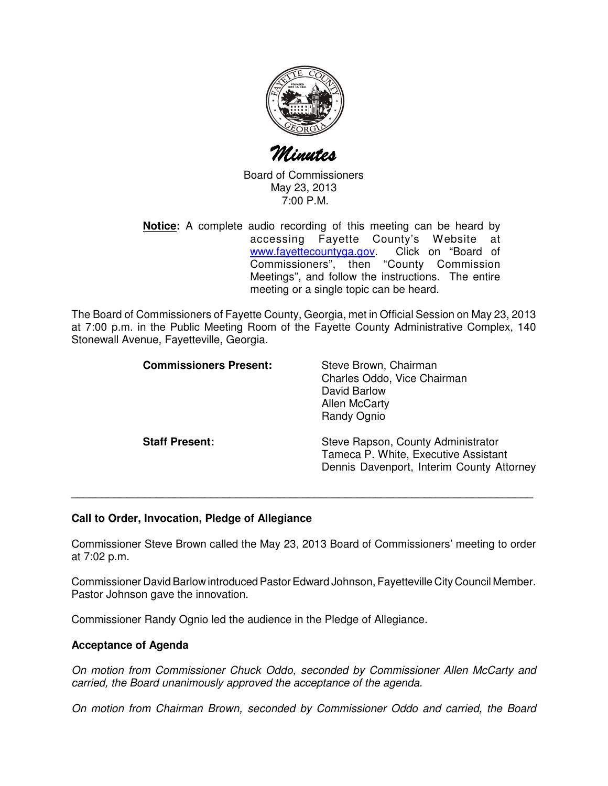

Minutes

Board of Commissioners May 23, 2013 7:00 P.M.

**Notice:** A complete audio recording of this meeting can be heard by accessing Fayette County's Website at www.fayettecountyga.gov. Click on "Board of Commissioners", then "County Commission Meetings", and follow the instructions. The entire meeting or a single topic can be heard.

The Board of Commissioners of Fayette County, Georgia, met in Official Session on May 23, 2013 at 7:00 p.m. in the Public Meeting Room of the Fayette County Administrative Complex, 140 Stonewall Avenue, Fayetteville, Georgia.

| <b>Commissioners Present:</b> | Steve Brown, Chairman<br>Charles Oddo, Vice Chairman<br>David Barlow<br><b>Allen McCarty</b><br><b>Randy Ognio</b>      |
|-------------------------------|-------------------------------------------------------------------------------------------------------------------------|
| <b>Staff Present:</b>         | Steve Rapson, County Administrator<br>Tameca P. White, Executive Assistant<br>Dennis Davenport, Interim County Attorney |

# **Call to Order, Invocation, Pledge of Allegiance**

Commissioner Steve Brown called the May 23, 2013 Board of Commissioners' meeting to order at 7:02 p.m.

**\_\_\_\_\_\_\_\_\_\_\_\_\_\_\_\_\_\_\_\_\_\_\_\_\_\_\_\_\_\_\_\_\_\_\_\_\_\_\_\_\_\_\_\_\_\_\_\_\_\_\_\_\_\_\_\_\_\_\_\_\_\_\_\_\_\_\_\_\_\_\_\_\_\_\_\_**

Commissioner David Barlow introduced Pastor Edward Johnson, Fayetteville City Council Member. Pastor Johnson gave the innovation.

Commissioner Randy Ognio led the audience in the Pledge of Allegiance.

#### **Acceptance of Agenda**

On motion from Commissioner Chuck Oddo, seconded by Commissioner Allen McCarty and carried, the Board unanimously approved the acceptance of the agenda.

On motion from Chairman Brown, seconded by Commissioner Oddo and carried, the Board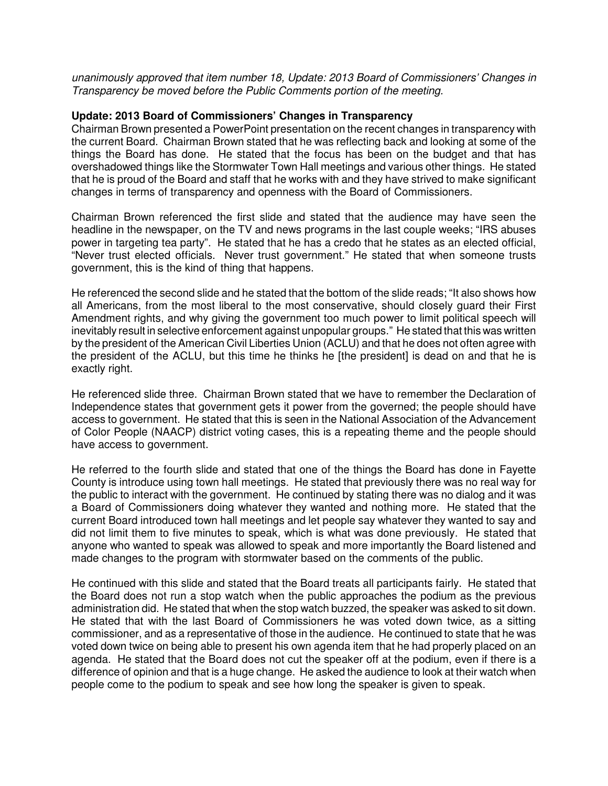unanimously approved that item number 18, Update: 2013 Board of Commissioners' Changes in Transparency be moved before the Public Comments portion of the meeting.

#### **Update: 2013 Board of Commissioners' Changes in Transparency**

Chairman Brown presented a PowerPoint presentation on the recent changes in transparency with the current Board. Chairman Brown stated that he was reflecting back and looking at some of the things the Board has done. He stated that the focus has been on the budget and that has overshadowed things like the Stormwater Town Hall meetings and various other things. He stated that he is proud of the Board and staff that he works with and they have strived to make significant changes in terms of transparency and openness with the Board of Commissioners.

Chairman Brown referenced the first slide and stated that the audience may have seen the headline in the newspaper, on the TV and news programs in the last couple weeks; "IRS abuses power in targeting tea party". He stated that he has a credo that he states as an elected official, "Never trust elected officials. Never trust government." He stated that when someone trusts government, this is the kind of thing that happens.

He referenced the second slide and he stated that the bottom of the slide reads; "It also shows how all Americans, from the most liberal to the most conservative, should closely guard their First Amendment rights, and why giving the government too much power to limit political speech will inevitably result in selective enforcement against unpopular groups." He stated that this was written by the president of the American Civil Liberties Union (ACLU) and that he does not often agree with the president of the ACLU, but this time he thinks he [the president] is dead on and that he is exactly right.

He referenced slide three. Chairman Brown stated that we have to remember the Declaration of Independence states that government gets it power from the governed; the people should have access to government. He stated that this is seen in the National Association of the Advancement of Color People (NAACP) district voting cases, this is a repeating theme and the people should have access to government.

He referred to the fourth slide and stated that one of the things the Board has done in Fayette County is introduce using town hall meetings. He stated that previously there was no real way for the public to interact with the government. He continued by stating there was no dialog and it was a Board of Commissioners doing whatever they wanted and nothing more. He stated that the current Board introduced town hall meetings and let people say whatever they wanted to say and did not limit them to five minutes to speak, which is what was done previously. He stated that anyone who wanted to speak was allowed to speak and more importantly the Board listened and made changes to the program with stormwater based on the comments of the public.

He continued with this slide and stated that the Board treats all participants fairly. He stated that the Board does not run a stop watch when the public approaches the podium as the previous administration did. He stated that when the stop watch buzzed, the speaker was asked to sit down. He stated that with the last Board of Commissioners he was voted down twice, as a sitting commissioner, and as a representative of those in the audience. He continued to state that he was voted down twice on being able to present his own agenda item that he had properly placed on an agenda. He stated that the Board does not cut the speaker off at the podium, even if there is a difference of opinion and that is a huge change. He asked the audience to look at their watch when people come to the podium to speak and see how long the speaker is given to speak.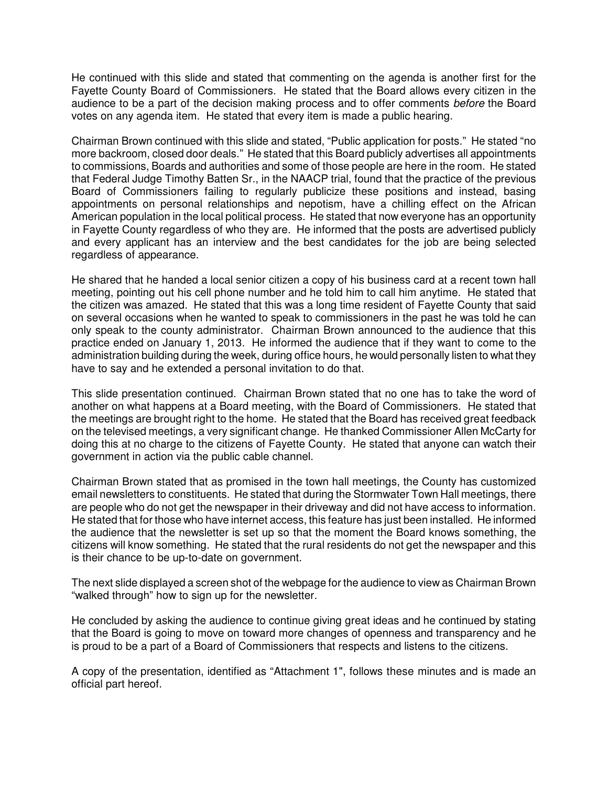He continued with this slide and stated that commenting on the agenda is another first for the Fayette County Board of Commissioners. He stated that the Board allows every citizen in the audience to be a part of the decision making process and to offer comments before the Board votes on any agenda item. He stated that every item is made a public hearing.

Chairman Brown continued with this slide and stated, "Public application for posts." He stated "no more backroom, closed door deals." He stated that this Board publicly advertises all appointments to commissions, Boards and authorities and some of those people are here in the room. He stated that Federal Judge Timothy Batten Sr., in the NAACP trial, found that the practice of the previous Board of Commissioners failing to regularly publicize these positions and instead, basing appointments on personal relationships and nepotism, have a chilling effect on the African American population in the local political process. He stated that now everyone has an opportunity in Fayette County regardless of who they are. He informed that the posts are advertised publicly and every applicant has an interview and the best candidates for the job are being selected regardless of appearance.

He shared that he handed a local senior citizen a copy of his business card at a recent town hall meeting, pointing out his cell phone number and he told him to call him anytime. He stated that the citizen was amazed. He stated that this was a long time resident of Fayette County that said on several occasions when he wanted to speak to commissioners in the past he was told he can only speak to the county administrator. Chairman Brown announced to the audience that this practice ended on January 1, 2013. He informed the audience that if they want to come to the administration building during the week, during office hours, he would personally listen to what they have to say and he extended a personal invitation to do that.

This slide presentation continued. Chairman Brown stated that no one has to take the word of another on what happens at a Board meeting, with the Board of Commissioners. He stated that the meetings are brought right to the home. He stated that the Board has received great feedback on the televised meetings, a very significant change. He thanked Commissioner Allen McCarty for doing this at no charge to the citizens of Fayette County. He stated that anyone can watch their government in action via the public cable channel.

Chairman Brown stated that as promised in the town hall meetings, the County has customized email newsletters to constituents. He stated that during the Stormwater Town Hall meetings, there are people who do not get the newspaper in their driveway and did not have access to information. He stated that for those who have internet access, this feature has just been installed. He informed the audience that the newsletter is set up so that the moment the Board knows something, the citizens will know something. He stated that the rural residents do not get the newspaper and this is their chance to be up-to-date on government.

The next slide displayed a screen shot of the webpage for the audience to view as Chairman Brown "walked through" how to sign up for the newsletter.

He concluded by asking the audience to continue giving great ideas and he continued by stating that the Board is going to move on toward more changes of openness and transparency and he is proud to be a part of a Board of Commissioners that respects and listens to the citizens.

A copy of the presentation, identified as "Attachment 1", follows these minutes and is made an official part hereof.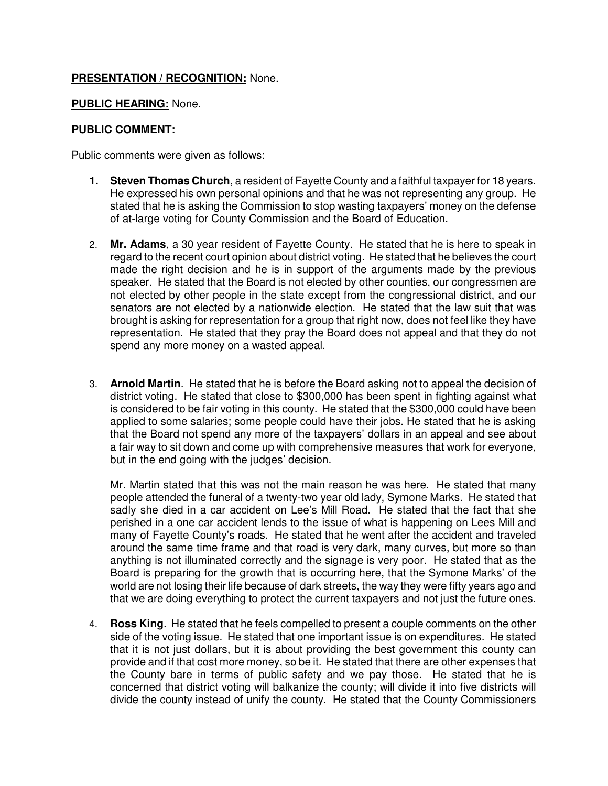# **PRESENTATION / RECOGNITION:** None.

# **PUBLIC HEARING:** None.

# **PUBLIC COMMENT:**

Public comments were given as follows:

- **1. Steven Thomas Church**, a resident of Fayette County and a faithful taxpayer for 18 years. He expressed his own personal opinions and that he was not representing any group. He stated that he is asking the Commission to stop wasting taxpayers' money on the defense of at-large voting for County Commission and the Board of Education.
- 2. **Mr. Adams**, a 30 year resident of Fayette County. He stated that he is here to speak in regard to the recent court opinion about district voting. He stated that he believes the court made the right decision and he is in support of the arguments made by the previous speaker. He stated that the Board is not elected by other counties, our congressmen are not elected by other people in the state except from the congressional district, and our senators are not elected by a nationwide election. He stated that the law suit that was brought is asking for representation for a group that right now, does not feel like they have representation. He stated that they pray the Board does not appeal and that they do not spend any more money on a wasted appeal.
- 3. **Arnold Martin**. He stated that he is before the Board asking not to appeal the decision of district voting. He stated that close to \$300,000 has been spent in fighting against what is considered to be fair voting in this county. He stated that the \$300,000 could have been applied to some salaries; some people could have their jobs. He stated that he is asking that the Board not spend any more of the taxpayers' dollars in an appeal and see about a fair way to sit down and come up with comprehensive measures that work for everyone, but in the end going with the judges' decision.

Mr. Martin stated that this was not the main reason he was here. He stated that many people attended the funeral of a twenty-two year old lady, Symone Marks. He stated that sadly she died in a car accident on Lee's Mill Road. He stated that the fact that she perished in a one car accident lends to the issue of what is happening on Lees Mill and many of Fayette County's roads. He stated that he went after the accident and traveled around the same time frame and that road is very dark, many curves, but more so than anything is not illuminated correctly and the signage is very poor. He stated that as the Board is preparing for the growth that is occurring here, that the Symone Marks' of the world are not losing their life because of dark streets, the way they were fifty years ago and that we are doing everything to protect the current taxpayers and not just the future ones.

4. **Ross King**. He stated that he feels compelled to present a couple comments on the other side of the voting issue. He stated that one important issue is on expenditures. He stated that it is not just dollars, but it is about providing the best government this county can provide and if that cost more money, so be it. He stated that there are other expenses that the County bare in terms of public safety and we pay those. He stated that he is concerned that district voting will balkanize the county; will divide it into five districts will divide the county instead of unify the county. He stated that the County Commissioners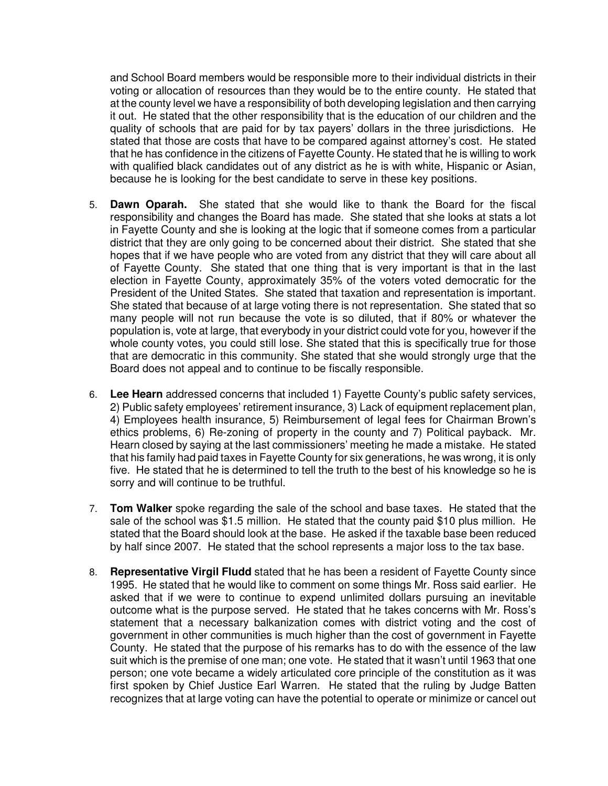and School Board members would be responsible more to their individual districts in their voting or allocation of resources than they would be to the entire county. He stated that at the county level we have a responsibility of both developing legislation and then carrying it out. He stated that the other responsibility that is the education of our children and the quality of schools that are paid for by tax payers' dollars in the three jurisdictions. He stated that those are costs that have to be compared against attorney's cost. He stated that he has confidence in the citizens of Fayette County. He stated that he is willing to work with qualified black candidates out of any district as he is with white, Hispanic or Asian, because he is looking for the best candidate to serve in these key positions.

- 5. **Dawn Oparah.** She stated that she would like to thank the Board for the fiscal responsibility and changes the Board has made. She stated that she looks at stats a lot in Fayette County and she is looking at the logic that if someone comes from a particular district that they are only going to be concerned about their district. She stated that she hopes that if we have people who are voted from any district that they will care about all of Fayette County. She stated that one thing that is very important is that in the last election in Fayette County, approximately 35% of the voters voted democratic for the President of the United States. She stated that taxation and representation is important. She stated that because of at large voting there is not representation. She stated that so many people will not run because the vote is so diluted, that if 80% or whatever the population is, vote at large, that everybody in your district could vote for you, however if the whole county votes, you could still lose. She stated that this is specifically true for those that are democratic in this community. She stated that she would strongly urge that the Board does not appeal and to continue to be fiscally responsible.
- 6. **Lee Hearn** addressed concerns that included 1) Fayette County's public safety services, 2) Public safety employees' retirement insurance, 3) Lack of equipment replacement plan, 4) Employees health insurance, 5) Reimbursement of legal fees for Chairman Brown's ethics problems, 6) Re-zoning of property in the county and 7) Political payback. Mr. Hearn closed by saying at the last commissioners' meeting he made a mistake. He stated that his family had paid taxes in Fayette County for six generations, he was wrong, it is only five. He stated that he is determined to tell the truth to the best of his knowledge so he is sorry and will continue to be truthful.
- 7. **Tom Walker** spoke regarding the sale of the school and base taxes. He stated that the sale of the school was \$1.5 million. He stated that the county paid \$10 plus million. He stated that the Board should look at the base. He asked if the taxable base been reduced by half since 2007. He stated that the school represents a major loss to the tax base.
- 8. **Representative Virgil Fludd** stated that he has been a resident of Fayette County since 1995. He stated that he would like to comment on some things Mr. Ross said earlier. He asked that if we were to continue to expend unlimited dollars pursuing an inevitable outcome what is the purpose served. He stated that he takes concerns with Mr. Ross's statement that a necessary balkanization comes with district voting and the cost of government in other communities is much higher than the cost of government in Fayette County. He stated that the purpose of his remarks has to do with the essence of the law suit which is the premise of one man; one vote. He stated that it wasn't until 1963 that one person; one vote became a widely articulated core principle of the constitution as it was first spoken by Chief Justice Earl Warren. He stated that the ruling by Judge Batten recognizes that at large voting can have the potential to operate or minimize or cancel out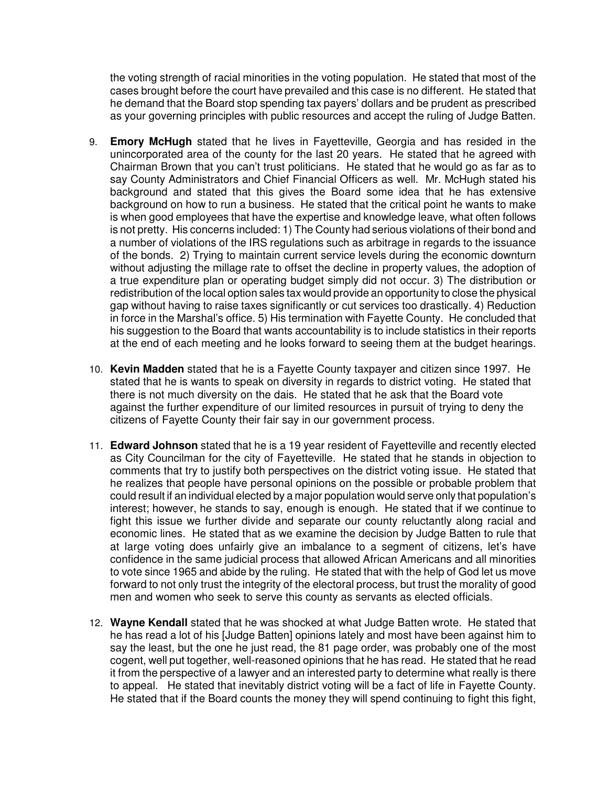the voting strength of racial minorities in the voting population. He stated that most of the cases brought before the court have prevailed and this case is no different. He stated that he demand that the Board stop spending tax payers' dollars and be prudent as prescribed as your governing principles with public resources and accept the ruling of Judge Batten.

- 9. **Emory McHugh** stated that he lives in Fayetteville, Georgia and has resided in the unincorporated area of the county for the last 20 years. He stated that he agreed with Chairman Brown that you can't trust politicians. He stated that he would go as far as to say County Administrators and Chief Financial Officers as well. Mr. McHugh stated his background and stated that this gives the Board some idea that he has extensive background on how to run a business. He stated that the critical point he wants to make is when good employees that have the expertise and knowledge leave, what often follows is not pretty. His concerns included: 1) The County had serious violations of their bond and a number of violations of the IRS regulations such as arbitrage in regards to the issuance of the bonds. 2) Trying to maintain current service levels during the economic downturn without adjusting the millage rate to offset the decline in property values, the adoption of a true expenditure plan or operating budget simply did not occur. 3) The distribution or redistribution of the local option sales tax would provide an opportunity to close the physical gap without having to raise taxes significantly or cut services too drastically. 4) Reduction in force in the Marshal's office. 5) His termination with Fayette County. He concluded that his suggestion to the Board that wants accountability is to include statistics in their reports at the end of each meeting and he looks forward to seeing them at the budget hearings.
- 10. **Kevin Madden** stated that he is a Fayette County taxpayer and citizen since 1997. He stated that he is wants to speak on diversity in regards to district voting. He stated that there is not much diversity on the dais. He stated that he ask that the Board vote against the further expenditure of our limited resources in pursuit of trying to deny the citizens of Fayette County their fair say in our government process.
- 11. **Edward Johnson** stated that he is a 19 year resident of Fayetteville and recently elected as City Councilman for the city of Fayetteville. He stated that he stands in objection to comments that try to justify both perspectives on the district voting issue. He stated that he realizes that people have personal opinions on the possible or probable problem that could result if an individual elected by a major population would serve only that population's interest; however, he stands to say, enough is enough. He stated that if we continue to fight this issue we further divide and separate our county reluctantly along racial and economic lines. He stated that as we examine the decision by Judge Batten to rule that at large voting does unfairly give an imbalance to a segment of citizens, let's have confidence in the same judicial process that allowed African Americans and all minorities to vote since 1965 and abide by the ruling. He stated that with the help of God let us move forward to not only trust the integrity of the electoral process, but trust the morality of good men and women who seek to serve this county as servants as elected officials.
- 12. **Wayne Kendall** stated that he was shocked at what Judge Batten wrote. He stated that he has read a lot of his [Judge Batten] opinions lately and most have been against him to say the least, but the one he just read, the 81 page order, was probably one of the most cogent, well put together, well-reasoned opinions that he has read. He stated that he read it from the perspective of a lawyer and an interested party to determine what really is there to appeal. He stated that inevitably district voting will be a fact of life in Fayette County. He stated that if the Board counts the money they will spend continuing to fight this fight,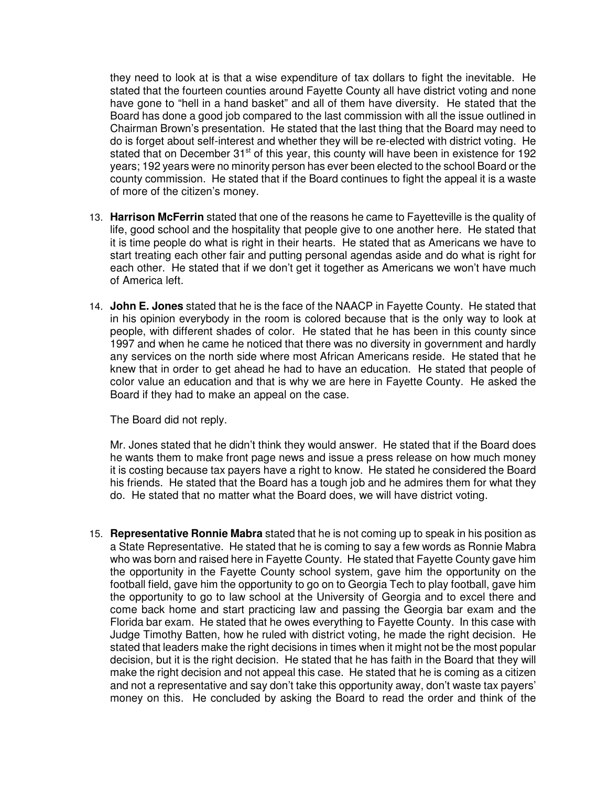they need to look at is that a wise expenditure of tax dollars to fight the inevitable. He stated that the fourteen counties around Fayette County all have district voting and none have gone to "hell in a hand basket" and all of them have diversity. He stated that the Board has done a good job compared to the last commission with all the issue outlined in Chairman Brown's presentation. He stated that the last thing that the Board may need to do is forget about self-interest and whether they will be re-elected with district voting. He stated that on December 31<sup>st</sup> of this year, this county will have been in existence for 192 years; 192 years were no minority person has ever been elected to the school Board or the county commission. He stated that if the Board continues to fight the appeal it is a waste of more of the citizen's money.

- 13. **Harrison McFerrin** stated that one of the reasons he came to Fayetteville is the quality of life, good school and the hospitality that people give to one another here. He stated that it is time people do what is right in their hearts. He stated that as Americans we have to start treating each other fair and putting personal agendas aside and do what is right for each other. He stated that if we don't get it together as Americans we won't have much of America left.
- 14. **John E. Jones** stated that he is the face of the NAACP in Fayette County. He stated that in his opinion everybody in the room is colored because that is the only way to look at people, with different shades of color. He stated that he has been in this county since 1997 and when he came he noticed that there was no diversity in government and hardly any services on the north side where most African Americans reside. He stated that he knew that in order to get ahead he had to have an education. He stated that people of color value an education and that is why we are here in Fayette County. He asked the Board if they had to make an appeal on the case.

The Board did not reply.

Mr. Jones stated that he didn't think they would answer. He stated that if the Board does he wants them to make front page news and issue a press release on how much money it is costing because tax payers have a right to know. He stated he considered the Board his friends. He stated that the Board has a tough job and he admires them for what they do. He stated that no matter what the Board does, we will have district voting.

15. **Representative Ronnie Mabra** stated that he is not coming up to speak in his position as a State Representative. He stated that he is coming to say a few words as Ronnie Mabra who was born and raised here in Fayette County. He stated that Fayette County gave him the opportunity in the Fayette County school system, gave him the opportunity on the football field, gave him the opportunity to go on to Georgia Tech to play football, gave him the opportunity to go to law school at the University of Georgia and to excel there and come back home and start practicing law and passing the Georgia bar exam and the Florida bar exam. He stated that he owes everything to Fayette County. In this case with Judge Timothy Batten, how he ruled with district voting, he made the right decision. He stated that leaders make the right decisions in times when it might not be the most popular decision, but it is the right decision. He stated that he has faith in the Board that they will make the right decision and not appeal this case. He stated that he is coming as a citizen and not a representative and say don't take this opportunity away, don't waste tax payers' money on this. He concluded by asking the Board to read the order and think of the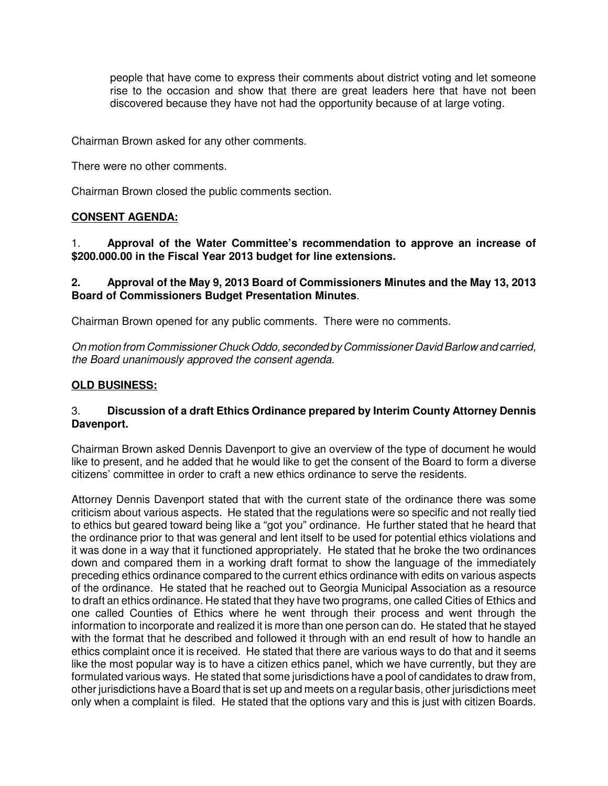people that have come to express their comments about district voting and let someone rise to the occasion and show that there are great leaders here that have not been discovered because they have not had the opportunity because of at large voting.

Chairman Brown asked for any other comments.

There were no other comments.

Chairman Brown closed the public comments section.

# **CONSENT AGENDA:**

1. **Approval of the Water Committee's recommendation to approve an increase of \$200.000.00 in the Fiscal Year 2013 budget for line extensions.**

# **2. Approval of the May 9, 2013 Board of Commissioners Minutes and the May 13, 2013 Board of Commissioners Budget Presentation Minutes**.

Chairman Brown opened for any public comments. There were no comments.

On motion from Commissioner Chuck Oddo, seconded by Commissioner David Barlow and carried, the Board unanimously approved the consent agenda.

# **OLD BUSINESS:**

# 3. **Discussion of a draft Ethics Ordinance prepared by Interim County Attorney Dennis Davenport.**

Chairman Brown asked Dennis Davenport to give an overview of the type of document he would like to present, and he added that he would like to get the consent of the Board to form a diverse citizens' committee in order to craft a new ethics ordinance to serve the residents.

Attorney Dennis Davenport stated that with the current state of the ordinance there was some criticism about various aspects. He stated that the regulations were so specific and not really tied to ethics but geared toward being like a "got you" ordinance. He further stated that he heard that the ordinance prior to that was general and lent itself to be used for potential ethics violations and it was done in a way that it functioned appropriately. He stated that he broke the two ordinances down and compared them in a working draft format to show the language of the immediately preceding ethics ordinance compared to the current ethics ordinance with edits on various aspects of the ordinance. He stated that he reached out to Georgia Municipal Association as a resource to draft an ethics ordinance. He stated that they have two programs, one called Cities of Ethics and one called Counties of Ethics where he went through their process and went through the information to incorporate and realized it is more than one person can do. He stated that he stayed with the format that he described and followed it through with an end result of how to handle an ethics complaint once it is received. He stated that there are various ways to do that and it seems like the most popular way is to have a citizen ethics panel, which we have currently, but they are formulated various ways. He stated that some jurisdictions have a pool of candidates to draw from, other jurisdictions have a Board that is set up and meets on a regular basis, other jurisdictions meet only when a complaint is filed. He stated that the options vary and this is just with citizen Boards.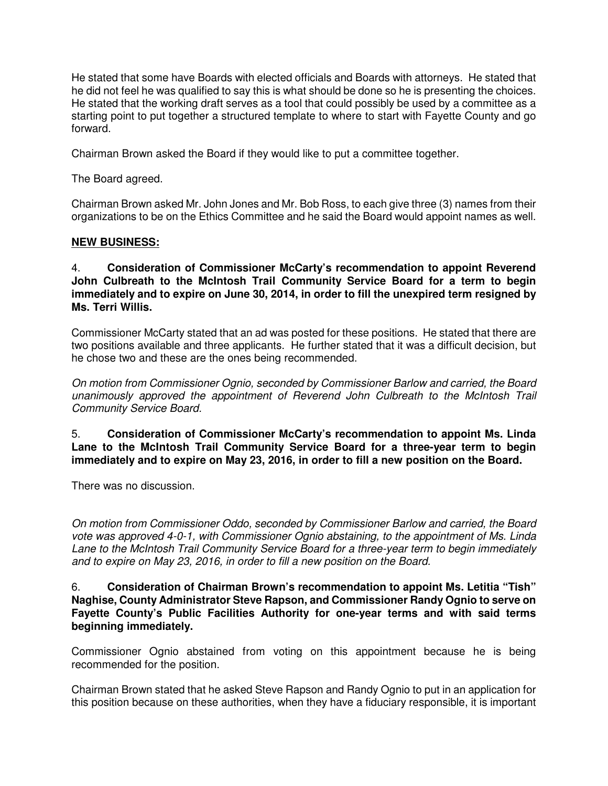He stated that some have Boards with elected officials and Boards with attorneys. He stated that he did not feel he was qualified to say this is what should be done so he is presenting the choices. He stated that the working draft serves as a tool that could possibly be used by a committee as a starting point to put together a structured template to where to start with Fayette County and go forward.

Chairman Brown asked the Board if they would like to put a committee together.

The Board agreed.

Chairman Brown asked Mr. John Jones and Mr. Bob Ross, to each give three (3) names from their organizations to be on the Ethics Committee and he said the Board would appoint names as well.

#### **NEW BUSINESS:**

4. **Consideration of Commissioner McCarty's recommendation to appoint Reverend John Culbreath to the McIntosh Trail Community Service Board for a term to begin immediately and to expire on June 30, 2014, in order to fill the unexpired term resigned by Ms. Terri Willis.**

Commissioner McCarty stated that an ad was posted for these positions. He stated that there are two positions available and three applicants. He further stated that it was a difficult decision, but he chose two and these are the ones being recommended.

On motion from Commissioner Ognio, seconded by Commissioner Barlow and carried, the Board unanimously approved the appointment of Reverend John Culbreath to the McIntosh Trail Community Service Board.

5. **Consideration of Commissioner McCarty's recommendation to appoint Ms. Linda Lane to the McIntosh Trail Community Service Board for a three-year term to begin immediately and to expire on May 23, 2016, in order to fill a new position on the Board.**

There was no discussion.

On motion from Commissioner Oddo, seconded by Commissioner Barlow and carried, the Board vote was approved 4-0-1, with Commissioner Ognio abstaining, to the appointment of Ms. Linda Lane to the McIntosh Trail Community Service Board for a three-year term to begin immediately and to expire on May 23, 2016, in order to fill a new position on the Board.

6. **Consideration of Chairman Brown's recommendation to appoint Ms. Letitia "Tish" Naghise, County Administrator Steve Rapson, and Commissioner Randy Ognio to serve on Fayette County's Public Facilities Authority for one-year terms and with said terms beginning immediately.**

Commissioner Ognio abstained from voting on this appointment because he is being recommended for the position.

Chairman Brown stated that he asked Steve Rapson and Randy Ognio to put in an application for this position because on these authorities, when they have a fiduciary responsible, it is important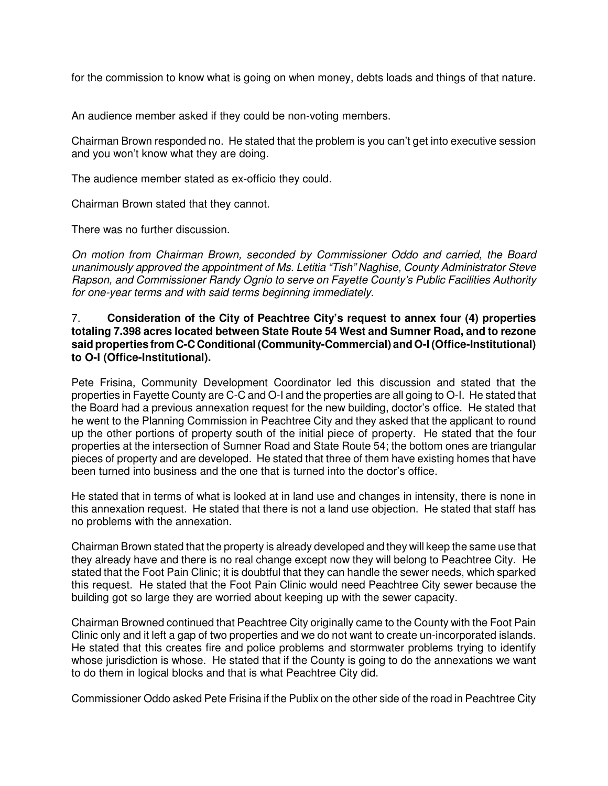for the commission to know what is going on when money, debts loads and things of that nature.

An audience member asked if they could be non-voting members.

Chairman Brown responded no. He stated that the problem is you can't get into executive session and you won't know what they are doing.

The audience member stated as ex-officio they could.

Chairman Brown stated that they cannot.

There was no further discussion.

On motion from Chairman Brown, seconded by Commissioner Oddo and carried, the Board unanimously approved the appointment of Ms. Letitia "Tish" Naghise, County Administrator Steve Rapson, and Commissioner Randy Ognio to serve on Fayette County's Public Facilities Authority for one-year terms and with said terms beginning immediately.

# 7. **Consideration of the City of Peachtree City's request to annex four (4) properties totaling 7.398 acres located between State Route 54 West and Sumner Road, and to rezone said properties from C-C Conditional (Community-Commercial) and O-I (Office-Institutional) to O-I (Office-Institutional).**

Pete Frisina, Community Development Coordinator led this discussion and stated that the properties in Fayette County are C-C and O-I and the properties are all going to O-I. He stated that the Board had a previous annexation request for the new building, doctor's office. He stated that he went to the Planning Commission in Peachtree City and they asked that the applicant to round up the other portions of property south of the initial piece of property. He stated that the four properties at the intersection of Sumner Road and State Route 54; the bottom ones are triangular pieces of property and are developed. He stated that three of them have existing homes that have been turned into business and the one that is turned into the doctor's office.

He stated that in terms of what is looked at in land use and changes in intensity, there is none in this annexation request. He stated that there is not a land use objection. He stated that staff has no problems with the annexation.

Chairman Brown stated that the property is already developed and they will keep the same use that they already have and there is no real change except now they will belong to Peachtree City. He stated that the Foot Pain Clinic; it is doubtful that they can handle the sewer needs, which sparked this request. He stated that the Foot Pain Clinic would need Peachtree City sewer because the building got so large they are worried about keeping up with the sewer capacity.

Chairman Browned continued that Peachtree City originally came to the County with the Foot Pain Clinic only and it left a gap of two properties and we do not want to create un-incorporated islands. He stated that this creates fire and police problems and stormwater problems trying to identify whose jurisdiction is whose. He stated that if the County is going to do the annexations we want to do them in logical blocks and that is what Peachtree City did.

Commissioner Oddo asked Pete Frisina if the Publix on the other side of the road in Peachtree City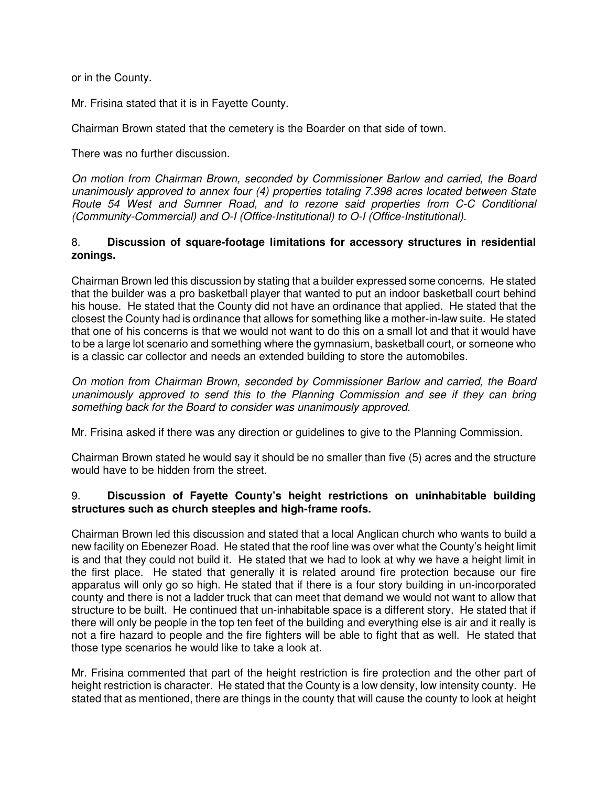or in the County.

Mr. Frisina stated that it is in Fayette County.

Chairman Brown stated that the cemetery is the Boarder on that side of town.

There was no further discussion.

On motion from Chairman Brown, seconded by Commissioner Barlow and carried, the Board unanimously approved to annex four (4) properties totaling 7.398 acres located between State Route 54 West and Sumner Road, and to rezone said properties from C-C Conditional (Community-Commercial) and O-I (Office-Institutional) to O-I (Office-Institutional).

### 8. **Discussion of square-footage limitations for accessory structures in residential zonings.**

Chairman Brown led this discussion by stating that a builder expressed some concerns. He stated that the builder was a pro basketball player that wanted to put an indoor basketball court behind his house. He stated that the County did not have an ordinance that applied. He stated that the closest the County had is ordinance that allows for something like a mother-in-law suite. He stated that one of his concerns is that we would not want to do this on a small lot and that it would have to be a large lot scenario and something where the gymnasium, basketball court, or someone who is a classic car collector and needs an extended building to store the automobiles.

On motion from Chairman Brown, seconded by Commissioner Barlow and carried, the Board unanimously approved to send this to the Planning Commission and see if they can bring something back for the Board to consider was unanimously approved.

Mr. Frisina asked if there was any direction or guidelines to give to the Planning Commission.

Chairman Brown stated he would say it should be no smaller than five (5) acres and the structure would have to be hidden from the street.

# 9. **Discussion of Fayette County's height restrictions on uninhabitable building structures such as church steeples and high-frame roofs.**

Chairman Brown led this discussion and stated that a local Anglican church who wants to build a new facility on Ebenezer Road. He stated that the roof line was over what the County's height limit is and that they could not build it. He stated that we had to look at why we have a height limit in the first place. He stated that generally it is related around fire protection because our fire apparatus will only go so high. He stated that if there is a four story building in un-incorporated county and there is not a ladder truck that can meet that demand we would not want to allow that structure to be built. He continued that un-inhabitable space is a different story. He stated that if there will only be people in the top ten feet of the building and everything else is air and it really is not a fire hazard to people and the fire fighters will be able to fight that as well. He stated that those type scenarios he would like to take a look at.

Mr. Frisina commented that part of the height restriction is fire protection and the other part of height restriction is character. He stated that the County is a low density, low intensity county. He stated that as mentioned, there are things in the county that will cause the county to look at height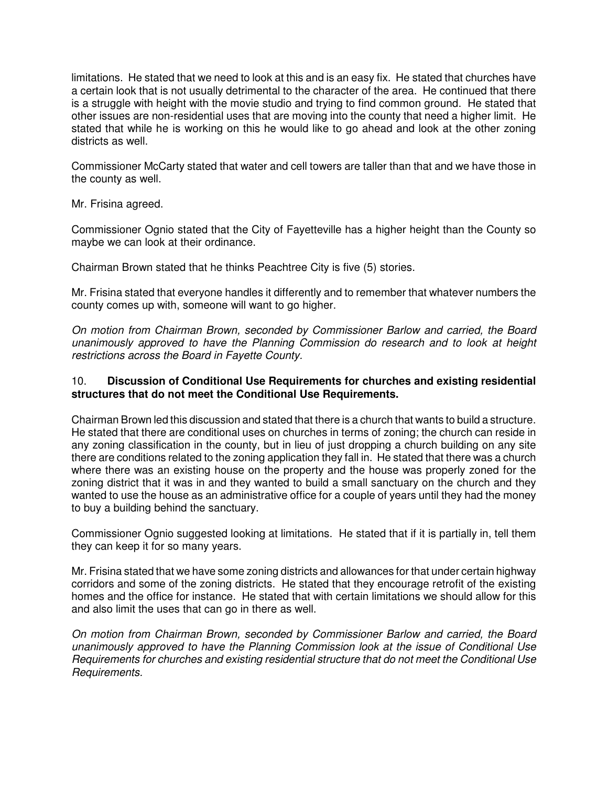limitations. He stated that we need to look at this and is an easy fix. He stated that churches have a certain look that is not usually detrimental to the character of the area. He continued that there is a struggle with height with the movie studio and trying to find common ground. He stated that other issues are non-residential uses that are moving into the county that need a higher limit. He stated that while he is working on this he would like to go ahead and look at the other zoning districts as well.

Commissioner McCarty stated that water and cell towers are taller than that and we have those in the county as well.

Mr. Frisina agreed.

Commissioner Ognio stated that the City of Fayetteville has a higher height than the County so maybe we can look at their ordinance.

Chairman Brown stated that he thinks Peachtree City is five (5) stories.

Mr. Frisina stated that everyone handles it differently and to remember that whatever numbers the county comes up with, someone will want to go higher.

On motion from Chairman Brown, seconded by Commissioner Barlow and carried, the Board unanimously approved to have the Planning Commission do research and to look at height restrictions across the Board in Fayette County.

# 10. **Discussion of Conditional Use Requirements for churches and existing residential structures that do not meet the Conditional Use Requirements.**

Chairman Brown led this discussion and stated that there is a church that wants to build a structure. He stated that there are conditional uses on churches in terms of zoning; the church can reside in any zoning classification in the county, but in lieu of just dropping a church building on any site there are conditions related to the zoning application they fall in. He stated that there was a church where there was an existing house on the property and the house was properly zoned for the zoning district that it was in and they wanted to build a small sanctuary on the church and they wanted to use the house as an administrative office for a couple of years until they had the money to buy a building behind the sanctuary.

Commissioner Ognio suggested looking at limitations. He stated that if it is partially in, tell them they can keep it for so many years.

Mr. Frisina stated that we have some zoning districts and allowances for that under certain highway corridors and some of the zoning districts. He stated that they encourage retrofit of the existing homes and the office for instance. He stated that with certain limitations we should allow for this and also limit the uses that can go in there as well.

On motion from Chairman Brown, seconded by Commissioner Barlow and carried, the Board unanimously approved to have the Planning Commission look at the issue of Conditional Use Requirements for churches and existing residential structure that do not meet the Conditional Use Requirements.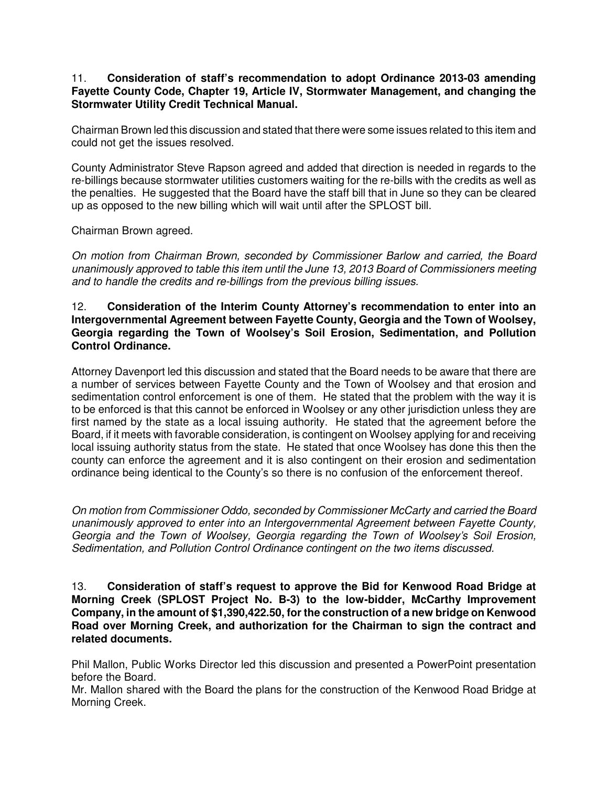### 11. **Consideration of staff's recommendation to adopt Ordinance 2013-03 amending Fayette County Code, Chapter 19, Article IV, Stormwater Management, and changing the Stormwater Utility Credit Technical Manual.**

Chairman Brown led this discussion and stated that there were some issues related to this item and could not get the issues resolved.

County Administrator Steve Rapson agreed and added that direction is needed in regards to the re-billings because stormwater utilities customers waiting for the re-bills with the credits as well as the penalties. He suggested that the Board have the staff bill that in June so they can be cleared up as opposed to the new billing which will wait until after the SPLOST bill.

Chairman Brown agreed.

On motion from Chairman Brown, seconded by Commissioner Barlow and carried, the Board unanimously approved to table this item until the June 13, 2013 Board of Commissioners meeting and to handle the credits and re-billings from the previous billing issues.

# 12. **Consideration of the Interim County Attorney's recommendation to enter into an Intergovernmental Agreement between Fayette County, Georgia and the Town of Woolsey, Georgia regarding the Town of Woolsey's Soil Erosion, Sedimentation, and Pollution Control Ordinance.**

Attorney Davenport led this discussion and stated that the Board needs to be aware that there are a number of services between Fayette County and the Town of Woolsey and that erosion and sedimentation control enforcement is one of them. He stated that the problem with the way it is to be enforced is that this cannot be enforced in Woolsey or any other jurisdiction unless they are first named by the state as a local issuing authority. He stated that the agreement before the Board, if it meets with favorable consideration, is contingent on Woolsey applying for and receiving local issuing authority status from the state. He stated that once Woolsey has done this then the county can enforce the agreement and it is also contingent on their erosion and sedimentation ordinance being identical to the County's so there is no confusion of the enforcement thereof.

On motion from Commissioner Oddo, seconded by Commissioner McCarty and carried the Board unanimously approved to enter into an Intergovernmental Agreement between Fayette County, Georgia and the Town of Woolsey, Georgia regarding the Town of Woolsey's Soil Erosion, Sedimentation, and Pollution Control Ordinance contingent on the two items discussed.

13. **Consideration of staff's request to approve the Bid for Kenwood Road Bridge at Morning Creek (SPLOST Project No. B-3) to the low-bidder, McCarthy Improvement Company, in the amount of \$1,390,422.50, for the construction of a new bridge on Kenwood Road over Morning Creek, and authorization for the Chairman to sign the contract and related documents.**

Phil Mallon, Public Works Director led this discussion and presented a PowerPoint presentation before the Board.

Mr. Mallon shared with the Board the plans for the construction of the Kenwood Road Bridge at Morning Creek.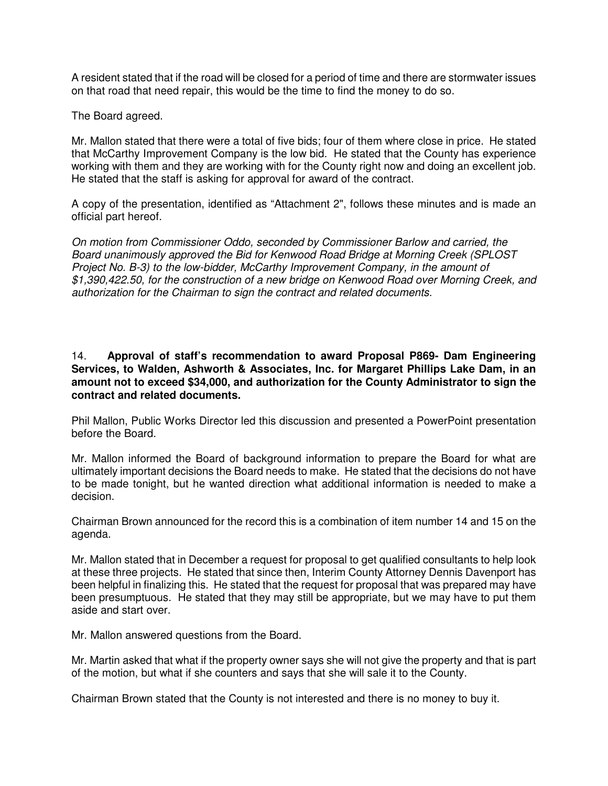A resident stated that if the road will be closed for a period of time and there are stormwater issues on that road that need repair, this would be the time to find the money to do so.

The Board agreed.

Mr. Mallon stated that there were a total of five bids; four of them where close in price. He stated that McCarthy Improvement Company is the low bid. He stated that the County has experience working with them and they are working with for the County right now and doing an excellent job. He stated that the staff is asking for approval for award of the contract.

A copy of the presentation, identified as "Attachment 2", follows these minutes and is made an official part hereof.

On motion from Commissioner Oddo, seconded by Commissioner Barlow and carried, the Board unanimously approved the Bid for Kenwood Road Bridge at Morning Creek (SPLOST Project No. B-3) to the low-bidder, McCarthy Improvement Company, in the amount of \$1,390,422.50, for the construction of a new bridge on Kenwood Road over Morning Creek, and authorization for the Chairman to sign the contract and related documents.

# 14. **Approval of staff's recommendation to award Proposal P869- Dam Engineering Services, to Walden, Ashworth & Associates, Inc. for Margaret Phillips Lake Dam, in an amount not to exceed \$34,000, and authorization for the County Administrator to sign the contract and related documents.**

Phil Mallon, Public Works Director led this discussion and presented a PowerPoint presentation before the Board.

Mr. Mallon informed the Board of background information to prepare the Board for what are ultimately important decisions the Board needs to make. He stated that the decisions do not have to be made tonight, but he wanted direction what additional information is needed to make a decision.

Chairman Brown announced for the record this is a combination of item number 14 and 15 on the agenda.

Mr. Mallon stated that in December a request for proposal to get qualified consultants to help look at these three projects. He stated that since then, Interim County Attorney Dennis Davenport has been helpful in finalizing this. He stated that the request for proposal that was prepared may have been presumptuous. He stated that they may still be appropriate, but we may have to put them aside and start over.

Mr. Mallon answered questions from the Board.

Mr. Martin asked that what if the property owner says she will not give the property and that is part of the motion, but what if she counters and says that she will sale it to the County.

Chairman Brown stated that the County is not interested and there is no money to buy it.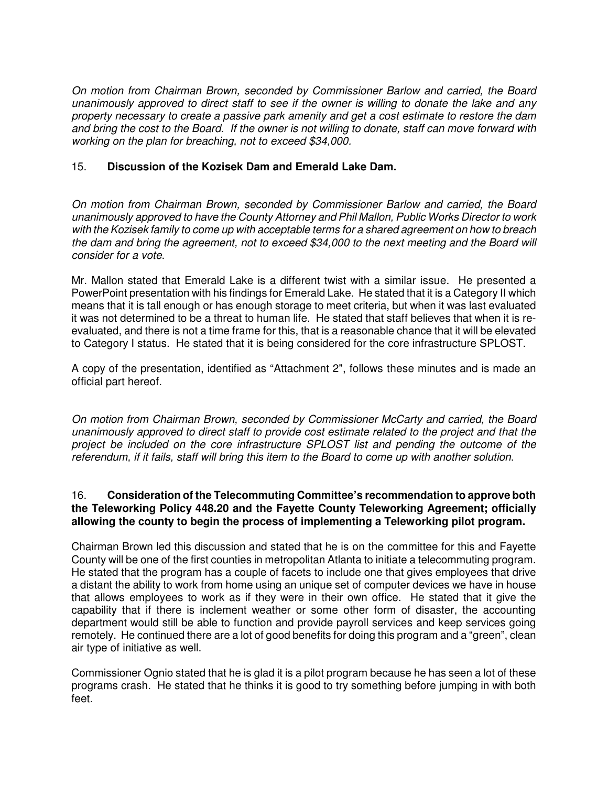On motion from Chairman Brown, seconded by Commissioner Barlow and carried, the Board unanimously approved to direct staff to see if the owner is willing to donate the lake and any property necessary to create a passive park amenity and get a cost estimate to restore the dam and bring the cost to the Board. If the owner is not willing to donate, staff can move forward with working on the plan for breaching, not to exceed \$34,000.

# 15. **Discussion of the Kozisek Dam and Emerald Lake Dam.**

On motion from Chairman Brown, seconded by Commissioner Barlow and carried, the Board unanimously approved to have the County Attorney and Phil Mallon, Public Works Director to work with the Kozisek family to come up with acceptable terms for a shared agreement on how to breach the dam and bring the agreement, not to exceed \$34,000 to the next meeting and the Board will consider for a vote.

Mr. Mallon stated that Emerald Lake is a different twist with a similar issue. He presented a PowerPoint presentation with his findings for Emerald Lake. He stated that it is a Category II which means that it is tall enough or has enough storage to meet criteria, but when it was last evaluated it was not determined to be a threat to human life. He stated that staff believes that when it is reevaluated, and there is not a time frame for this, that is a reasonable chance that it will be elevated to Category I status. He stated that it is being considered for the core infrastructure SPLOST.

A copy of the presentation, identified as "Attachment 2", follows these minutes and is made an official part hereof.

On motion from Chairman Brown, seconded by Commissioner McCarty and carried, the Board unanimously approved to direct staff to provide cost estimate related to the project and that the project be included on the core infrastructure SPLOST list and pending the outcome of the referendum, if it fails, staff will bring this item to the Board to come up with another solution.

# 16. **Consideration of the Telecommuting Committee's recommendation to approve both the Teleworking Policy 448.20 and the Fayette County Teleworking Agreement; officially allowing the county to begin the process of implementing a Teleworking pilot program.**

Chairman Brown led this discussion and stated that he is on the committee for this and Fayette County will be one of the first counties in metropolitan Atlanta to initiate a telecommuting program. He stated that the program has a couple of facets to include one that gives employees that drive a distant the ability to work from home using an unique set of computer devices we have in house that allows employees to work as if they were in their own office. He stated that it give the capability that if there is inclement weather or some other form of disaster, the accounting department would still be able to function and provide payroll services and keep services going remotely. He continued there are a lot of good benefits for doing this program and a "green", clean air type of initiative as well.

Commissioner Ognio stated that he is glad it is a pilot program because he has seen a lot of these programs crash. He stated that he thinks it is good to try something before jumping in with both feet.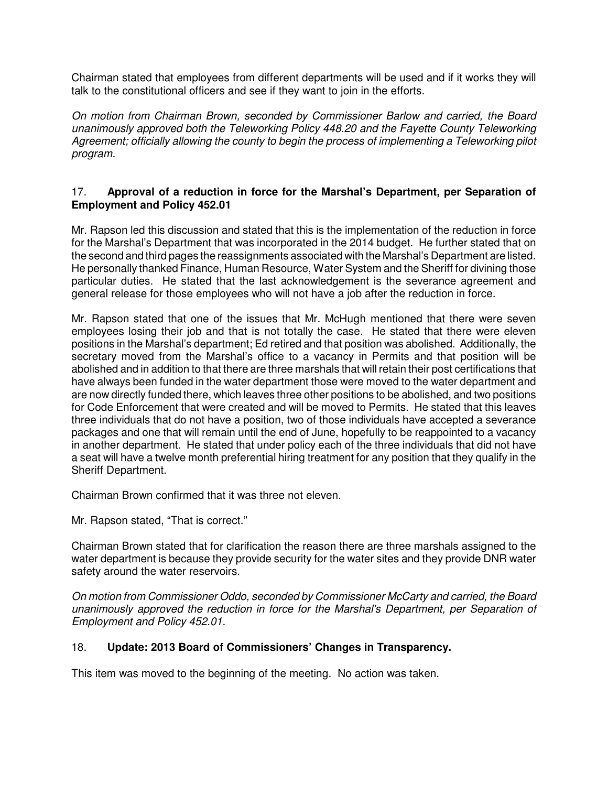Chairman stated that employees from different departments will be used and if it works they will talk to the constitutional officers and see if they want to join in the efforts.

On motion from Chairman Brown, seconded by Commissioner Barlow and carried, the Board unanimously approved both the Teleworking Policy 448.20 and the Fayette County Teleworking Agreement; officially allowing the county to begin the process of implementing a Teleworking pilot program.

# 17. **Approval of a reduction in force for the Marshal's Department, per Separation of Employment and Policy 452.01**

Mr. Rapson led this discussion and stated that this is the implementation of the reduction in force for the Marshal's Department that was incorporated in the 2014 budget. He further stated that on the second and third pages the reassignments associated with the Marshal's Department are listed. He personally thanked Finance, Human Resource, Water System and the Sheriff for divining those particular duties. He stated that the last acknowledgement is the severance agreement and general release for those employees who will not have a job after the reduction in force.

Mr. Rapson stated that one of the issues that Mr. McHugh mentioned that there were seven employees losing their job and that is not totally the case. He stated that there were eleven positions in the Marshal's department; Ed retired and that position was abolished. Additionally, the secretary moved from the Marshal's office to a vacancy in Permits and that position will be abolished and in addition to that there are three marshals that will retain their post certifications that have always been funded in the water department those were moved to the water department and are now directly funded there, which leaves three other positions to be abolished, and two positions for Code Enforcement that were created and will be moved to Permits. He stated that this leaves three individuals that do not have a position, two of those individuals have accepted a severance packages and one that will remain until the end of June, hopefully to be reappointed to a vacancy in another department. He stated that under policy each of the three individuals that did not have a seat will have a twelve month preferential hiring treatment for any position that they qualify in the Sheriff Department.

Chairman Brown confirmed that it was three not eleven.

Mr. Rapson stated, "That is correct."

Chairman Brown stated that for clarification the reason there are three marshals assigned to the water department is because they provide security for the water sites and they provide DNR water safety around the water reservoirs.

On motion from Commissioner Oddo, seconded by Commissioner McCarty and carried, the Board unanimously approved the reduction in force for the Marshal's Department, per Separation of Employment and Policy 452.01.

# 18. **Update: 2013 Board of Commissioners' Changes in Transparency.**

This item was moved to the beginning of the meeting.No action was taken.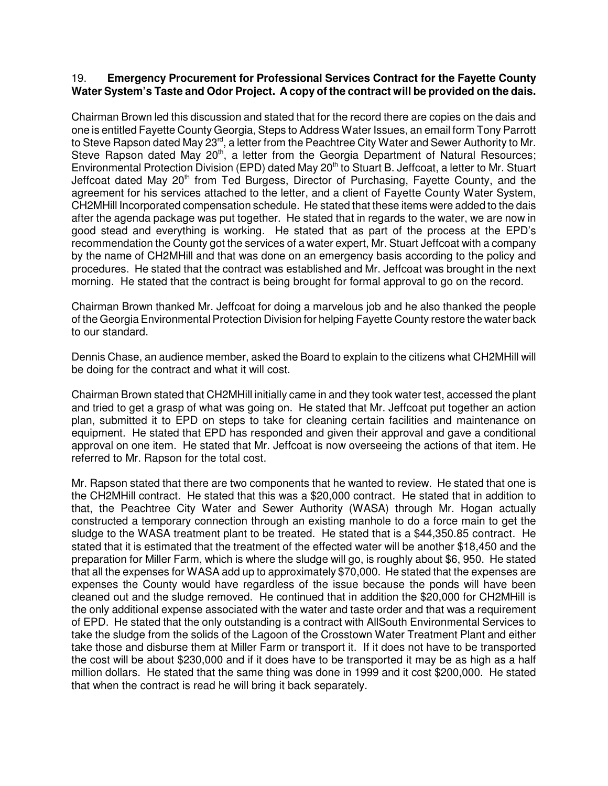# 19. **Emergency Procurement for Professional Services Contract for the Fayette County Water System's Taste and Odor Project. A copy of the contract will be provided on the dais.**

Chairman Brown led this discussion and stated that for the record there are copies on the dais and one is entitled Fayette County Georgia, Steps to Address Water Issues, an email form Tony Parrott to Steve Rapson dated May 23<sup>rd</sup>, a letter from the Peachtree City Water and Sewer Authority to Mr. Steve Rapson dated May 20<sup>th</sup>, a letter from the Georgia Department of Natural Resources; Environmental Protection Division (EPD) dated May 20<sup>th</sup> to Stuart B. Jeffcoat, a letter to Mr. Stuart Jeffcoat dated May 20<sup>th</sup> from Ted Burgess, Director of Purchasing, Fayette County, and the agreement for his services attached to the letter, and a client of Fayette County Water System, CH2MHill Incorporated compensation schedule. He stated that these items were added to the dais after the agenda package was put together. He stated that in regards to the water, we are now in good stead and everything is working. He stated that as part of the process at the EPD's recommendation the County got the services of a water expert, Mr. Stuart Jeffcoat with a company by the name of CH2MHill and that was done on an emergency basis according to the policy and procedures. He stated that the contract was established and Mr. Jeffcoat was brought in the next morning. He stated that the contract is being brought for formal approval to go on the record.

Chairman Brown thanked Mr. Jeffcoat for doing a marvelous job and he also thanked the people of the Georgia Environmental Protection Division for helping Fayette County restore the water back to our standard.

Dennis Chase, an audience member, asked the Board to explain to the citizens what CH2MHill will be doing for the contract and what it will cost.

Chairman Brown stated that CH2MHill initially came in and they took water test, accessed the plant and tried to get a grasp of what was going on. He stated that Mr. Jeffcoat put together an action plan, submitted it to EPD on steps to take for cleaning certain facilities and maintenance on equipment. He stated that EPD has responded and given their approval and gave a conditional approval on one item. He stated that Mr. Jeffcoat is now overseeing the actions of that item. He referred to Mr. Rapson for the total cost.

Mr. Rapson stated that there are two components that he wanted to review. He stated that one is the CH2MHill contract. He stated that this was a \$20,000 contract. He stated that in addition to that, the Peachtree City Water and Sewer Authority (WASA) through Mr. Hogan actually constructed a temporary connection through an existing manhole to do a force main to get the sludge to the WASA treatment plant to be treated. He stated that is a \$44,350.85 contract. He stated that it is estimated that the treatment of the effected water will be another \$18,450 and the preparation for Miller Farm, which is where the sludge will go, is roughly about \$6, 950. He stated that all the expenses for WASA add up to approximately \$70,000. He stated that the expenses are expenses the County would have regardless of the issue because the ponds will have been cleaned out and the sludge removed. He continued that in addition the \$20,000 for CH2MHill is the only additional expense associated with the water and taste order and that was a requirement of EPD. He stated that the only outstanding is a contract with AllSouth Environmental Services to take the sludge from the solids of the Lagoon of the Crosstown Water Treatment Plant and either take those and disburse them at Miller Farm or transport it. If it does not have to be transported the cost will be about \$230,000 and if it does have to be transported it may be as high as a half million dollars. He stated that the same thing was done in 1999 and it cost \$200,000. He stated that when the contract is read he will bring it back separately.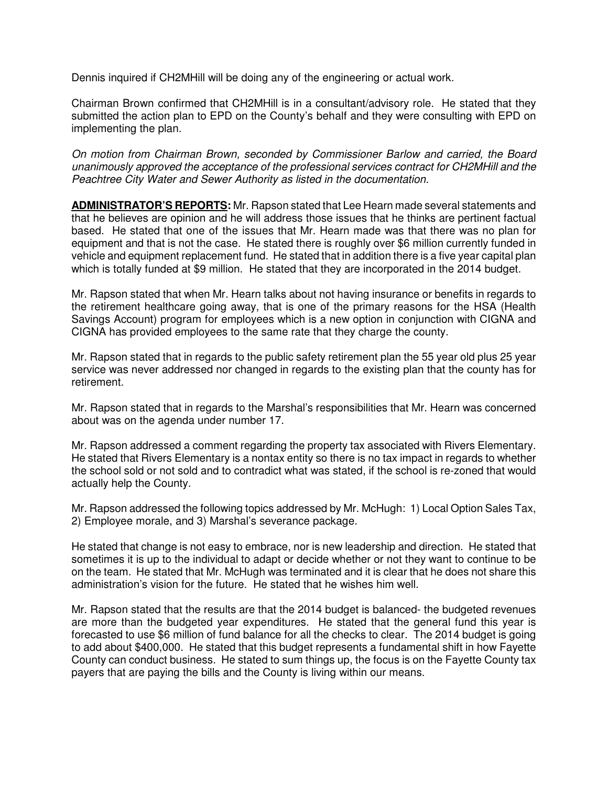Dennis inquired if CH2MHill will be doing any of the engineering or actual work.

Chairman Brown confirmed that CH2MHill is in a consultant/advisory role. He stated that they submitted the action plan to EPD on the County's behalf and they were consulting with EPD on implementing the plan.

On motion from Chairman Brown, seconded by Commissioner Barlow and carried, the Board unanimously approved the acceptance of the professional services contract for CH2MHill and the Peachtree City Water and Sewer Authority as listed in the documentation.

**ADMINISTRATOR'S REPORTS:** Mr. Rapson stated that Lee Hearn made several statements and that he believes are opinion and he will address those issues that he thinks are pertinent factual based. He stated that one of the issues that Mr. Hearn made was that there was no plan for equipment and that is not the case. He stated there is roughly over \$6 million currently funded in vehicle and equipment replacement fund. He stated that in addition there is a five year capital plan which is totally funded at \$9 million. He stated that they are incorporated in the 2014 budget.

Mr. Rapson stated that when Mr. Hearn talks about not having insurance or benefits in regards to the retirement healthcare going away, that is one of the primary reasons for the HSA (Health Savings Account) program for employees which is a new option in conjunction with CIGNA and CIGNA has provided employees to the same rate that they charge the county.

Mr. Rapson stated that in regards to the public safety retirement plan the 55 year old plus 25 year service was never addressed nor changed in regards to the existing plan that the county has for retirement.

Mr. Rapson stated that in regards to the Marshal's responsibilities that Mr. Hearn was concerned about was on the agenda under number 17.

Mr. Rapson addressed a comment regarding the property tax associated with Rivers Elementary. He stated that Rivers Elementary is a nontax entity so there is no tax impact in regards to whether the school sold or not sold and to contradict what was stated, if the school is re-zoned that would actually help the County.

Mr. Rapson addressed the following topics addressed by Mr. McHugh: 1) Local Option Sales Tax, 2) Employee morale, and 3) Marshal's severance package.

He stated that change is not easy to embrace, nor is new leadership and direction. He stated that sometimes it is up to the individual to adapt or decide whether or not they want to continue to be on the team. He stated that Mr. McHugh was terminated and it is clear that he does not share this administration's vision for the future. He stated that he wishes him well.

Mr. Rapson stated that the results are that the 2014 budget is balanced- the budgeted revenues are more than the budgeted year expenditures. He stated that the general fund this year is forecasted to use \$6 million of fund balance for all the checks to clear. The 2014 budget is going to add about \$400,000. He stated that this budget represents a fundamental shift in how Fayette County can conduct business. He stated to sum things up, the focus is on the Fayette County tax payers that are paying the bills and the County is living within our means.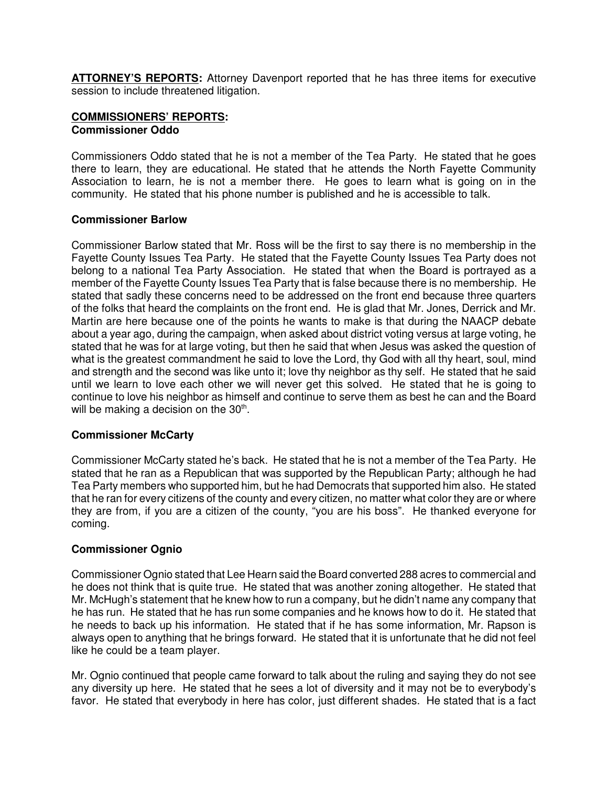**ATTORNEY'S REPORTS:** Attorney Davenport reported that he has three items for executive session to include threatened litigation.

### **COMMISSIONERS' REPORTS: Commissioner Oddo**

Commissioners Oddo stated that he is not a member of the Tea Party. He stated that he goes there to learn, they are educational. He stated that he attends the North Fayette Community Association to learn, he is not a member there. He goes to learn what is going on in the community. He stated that his phone number is published and he is accessible to talk.

#### **Commissioner Barlow**

Commissioner Barlow stated that Mr. Ross will be the first to say there is no membership in the Fayette County Issues Tea Party. He stated that the Fayette County Issues Tea Party does not belong to a national Tea Party Association. He stated that when the Board is portrayed as a member of the Fayette County Issues Tea Party that is false because there is no membership. He stated that sadly these concerns need to be addressed on the front end because three quarters of the folks that heard the complaints on the front end. He is glad that Mr. Jones, Derrick and Mr. Martin are here because one of the points he wants to make is that during the NAACP debate about a year ago, during the campaign, when asked about district voting versus at large voting, he stated that he was for at large voting, but then he said that when Jesus was asked the question of what is the greatest commandment he said to love the Lord, thy God with all thy heart, soul, mind and strength and the second was like unto it; love thy neighbor as thy self. He stated that he said until we learn to love each other we will never get this solved. He stated that he is going to continue to love his neighbor as himself and continue to serve them as best he can and the Board will be making a decision on the  $30<sup>th</sup>$ .

# **Commissioner McCarty**

Commissioner McCarty stated he's back. He stated that he is not a member of the Tea Party. He stated that he ran as a Republican that was supported by the Republican Party; although he had Tea Party members who supported him, but he had Democrats that supported him also. He stated that he ran for every citizens of the county and every citizen, no matter what color they are or where they are from, if you are a citizen of the county, "you are his boss". He thanked everyone for coming.

# **Commissioner Ognio**

Commissioner Ognio stated that Lee Hearn said the Board converted 288 acres to commercial and he does not think that is quite true. He stated that was another zoning altogether. He stated that Mr. McHugh's statement that he knew how to run a company, but he didn't name any company that he has run. He stated that he has run some companies and he knows how to do it. He stated that he needs to back up his information. He stated that if he has some information, Mr. Rapson is always open to anything that he brings forward. He stated that it is unfortunate that he did not feel like he could be a team player.

Mr. Ognio continued that people came forward to talk about the ruling and saying they do not see any diversity up here. He stated that he sees a lot of diversity and it may not be to everybody's favor. He stated that everybody in here has color, just different shades. He stated that is a fact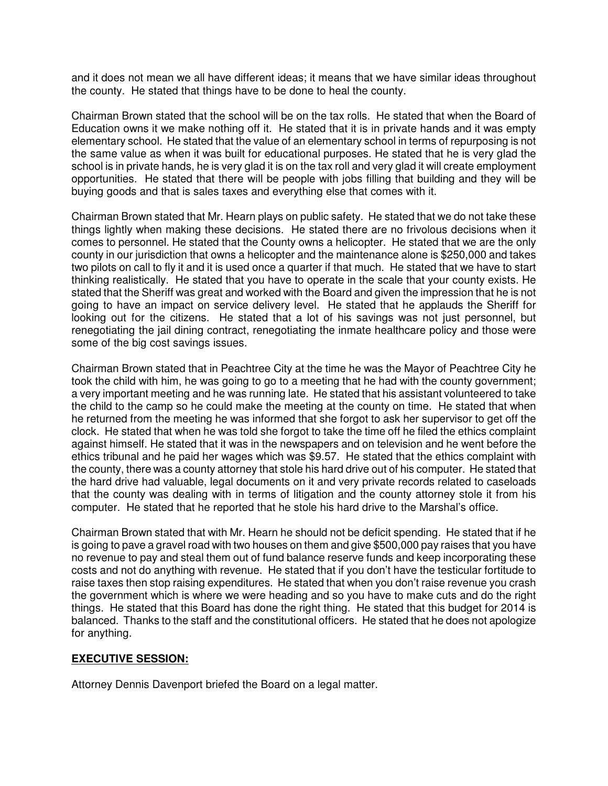and it does not mean we all have different ideas; it means that we have similar ideas throughout the county. He stated that things have to be done to heal the county.

Chairman Brown stated that the school will be on the tax rolls. He stated that when the Board of Education owns it we make nothing off it. He stated that it is in private hands and it was empty elementary school. He stated that the value of an elementary school in terms of repurposing is not the same value as when it was built for educational purposes. He stated that he is very glad the school is in private hands, he is very glad it is on the tax roll and very glad it will create employment opportunities. He stated that there will be people with jobs filling that building and they will be buying goods and that is sales taxes and everything else that comes with it.

Chairman Brown stated that Mr. Hearn plays on public safety. He stated that we do not take these things lightly when making these decisions. He stated there are no frivolous decisions when it comes to personnel. He stated that the County owns a helicopter. He stated that we are the only county in our jurisdiction that owns a helicopter and the maintenance alone is \$250,000 and takes two pilots on call to fly it and it is used once a quarter if that much. He stated that we have to start thinking realistically. He stated that you have to operate in the scale that your county exists. He stated that the Sheriff was great and worked with the Board and given the impression that he is not going to have an impact on service delivery level. He stated that he applauds the Sheriff for looking out for the citizens. He stated that a lot of his savings was not just personnel, but renegotiating the jail dining contract, renegotiating the inmate healthcare policy and those were some of the big cost savings issues.

Chairman Brown stated that in Peachtree City at the time he was the Mayor of Peachtree City he took the child with him, he was going to go to a meeting that he had with the county government; a very important meeting and he was running late. He stated that his assistant volunteered to take the child to the camp so he could make the meeting at the county on time. He stated that when he returned from the meeting he was informed that she forgot to ask her supervisor to get off the clock. He stated that when he was told she forgot to take the time off he filed the ethics complaint against himself. He stated that it was in the newspapers and on television and he went before the ethics tribunal and he paid her wages which was \$9.57. He stated that the ethics complaint with the county, there was a county attorney that stole his hard drive out of his computer. He stated that the hard drive had valuable, legal documents on it and very private records related to caseloads that the county was dealing with in terms of litigation and the county attorney stole it from his computer. He stated that he reported that he stole his hard drive to the Marshal's office.

Chairman Brown stated that with Mr. Hearn he should not be deficit spending. He stated that if he is going to pave a gravel road with two houses on them and give \$500,000 pay raises that you have no revenue to pay and steal them out of fund balance reserve funds and keep incorporating these costs and not do anything with revenue. He stated that if you don't have the testicular fortitude to raise taxes then stop raising expenditures. He stated that when you don't raise revenue you crash the government which is where we were heading and so you have to make cuts and do the right things. He stated that this Board has done the right thing. He stated that this budget for 2014 is balanced. Thanks to the staff and the constitutional officers. He stated that he does not apologize for anything.

# **EXECUTIVE SESSION:**

Attorney Dennis Davenport briefed the Board on a legal matter.